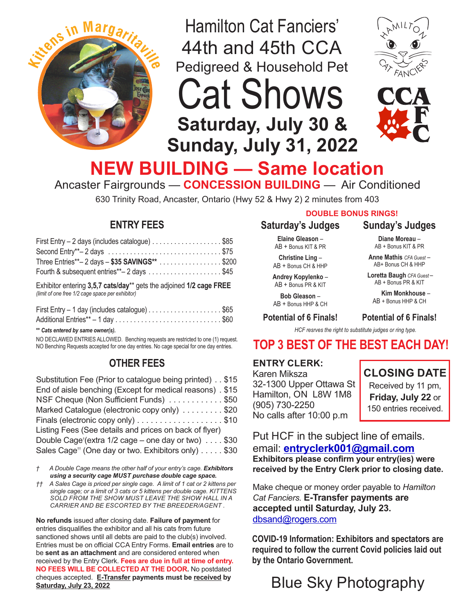

Hamilton Cat Fanciers' 44th and 45th CCA Pedigreed & Household Pet



Cat Shows **Saturday, July 30 & Sunday, July 31, 2022**

# **NEW BUILDING — Same location**

Ancaster Fairgrounds — **CONCESSION BUILDING** — Air Conditioned

630 Trinity Road, Ancaster, Ontario (Hwy 52 & Hwy 2) 2 minutes from 403

# **ENTRY FEES**

| First Entry - 2 days (includes catalogue) \$85                                  |  |
|---------------------------------------------------------------------------------|--|
| Second Entry**-2 days $\dots\dots\dots\dots\dots\dots\dots\dots\dots\dots\dots$ |  |
| Three Entries**- 2 days - \$35 SAVINGS** \$200                                  |  |
| Fourth & subsequent entries**-2 days \$45                                       |  |
| Exhibitor entering 3,5,7 cats/day** gets the adjoined 1/2 cage FREE             |  |

*(limit of one free 1/2 cage space per exhibitor)*

| First Entry - 1 day (includes catalogue) \$65 |  |
|-----------------------------------------------|--|
|                                               |  |

**\*\*** *Cats entered by same owner(s).*

NO DECLAWED ENTRIES ALLOWED. Benching requests are restricted to one (1) request. NO Benching Requests accepted for one day entries. No cage special for one day entries.

# **OTHER FEES**

| Substitution Fee (Prior to catalogue being printed) \$15        |
|-----------------------------------------------------------------|
| End of aisle benching (Except for medical reasons). \$15        |
| NSF Cheque (Non Sufficient Funds) \$50                          |
| Marked Catalogue (electronic copy only) \$20                    |
| Finals (electronic copy only) \$10                              |
|                                                                 |
| Double Cage <sup>†</sup> (extra 1/2 cage – one day or two) \$30 |
| Sales Cage <sup>++</sup> (One day or two. Exhibitors only) \$30 |
|                                                                 |

- *† A Double Cage means the other half of your entry's cage. Exhibitors using a security cage MUST purchase double cage space.*
- *†† A Sales Cage is priced per single cage. A limit of 1 cat or 2 kittens per single cage; or a limit of 3 cats or 5 kittens per double cage. KITTENS SOLD FROM THE SHOW MUST LEAVE THE SHOW HALL IN A CARRIER AND BE ESCORTED BY THE BREEDER/AGENT .*

**No refunds** issued after closing date. **Failure of payment** for entries disqualifies the exhibitor and all his cats from future sanctioned shows until all debts are paid to the club(s) involved. Entries must be on official CCA Entry Forms. **Email entries** are to be **sent as an attachment** and are considered entered when received by the Entry Clerk. **Fees are due in full at time of entry. NO FEES WILL BE COLLECTED AT THE DOOR.** No postdated cheques accepted. **E-Transfer payments must be received by Saturday, July 23, 2022**

### **DOUBLE BONUS RINGS!**

## **Saturday's Judges**

**Elaine Gleason** – AB + Bonus KIT & PR

**Christine Ling** – AB + Bonus CH & HHP

**Andrey Kopylenko** – AB + Bonus PR & KIT

**Bob Gleason** –

AB + Bonus HHP & CH **Potential of 6 Finals!**

#### **Potential of 6 Finals!**

**Sunday's Judges Diane Moreau** – AB + Bonus KIT & PR **Anne Mathis** *CFA Guest* – AB+ Bonus CH & HHP **Loretta Baugh** *CFA Guest* – AB + Bonus PR & KIT  **Kim Monkhouse** – AB + Bonus HHP & CH

*HCF resrves the right to substitute judges or ring type.*

# **TOP 3 BEST OF THE BEST EACH DAY!**

#### **ENTRY CLERK:**

Karen Miksza 32-1300 Upper Ottawa St Hamilton, ON L8W 1M8 (905) 730-2250 No calls after 10:00 p.m

# **CLOSING DATE**

Received by 11 pm, **Friday, July 22** or 150 entries received.

Put HCF in the subject line of emails. email: **[entryclerk001@gmail.com](mailto:entryclerk@hamiltoncatshow.ca) Exhibitors please confirm your entry(ies) were received by the Entry Clerk prior to closing date.**

Make cheque or money order payable to *Hamilton Cat Fanciers.* **E-Transfer payments are accepted until Saturday, July 23.**  [dbsand@rogers.com](mailto:dbsand@rogers.com)

**COVID-19 Information: Exhibitors and spectators are required to follow the current Covid policies laid out by the Ontario Government.** 

Blue Sky Photography